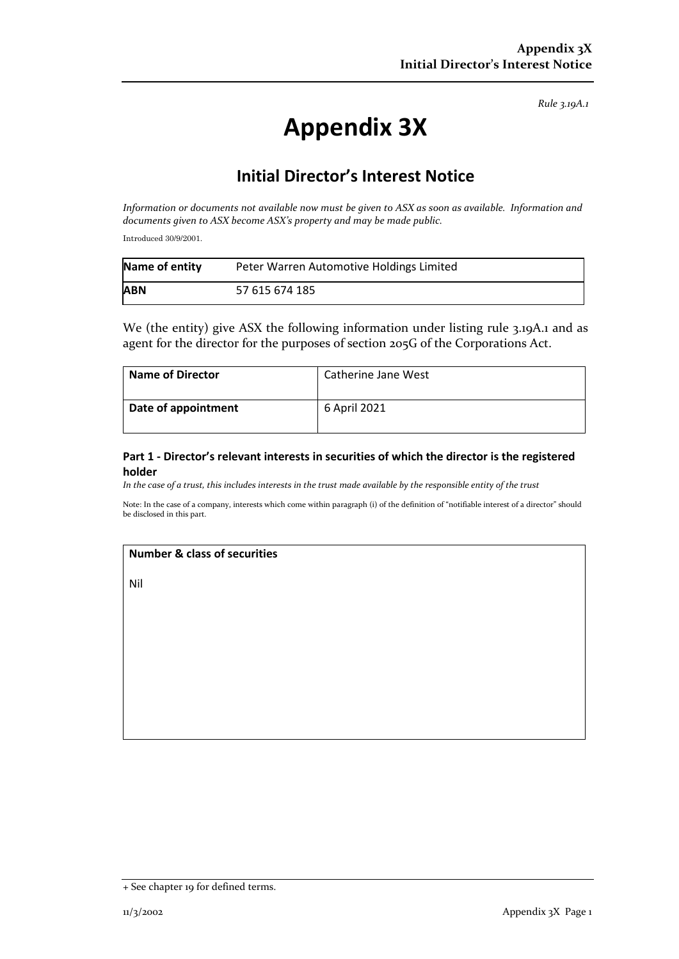*Rule 3.19A.1*

# **Appendix 3X**

# **Initial Director's Interest Notice**

*Information or documents not available now must be given to ASX as soon as available. Information and documents given to ASX become ASX's property and may be made public.*

Introduced 30/9/2001.

| Name of entity | Peter Warren Automotive Holdings Limited |
|----------------|------------------------------------------|
| <b>ABN</b>     | 57 615 674 185                           |

We (the entity) give ASX the following information under listing rule 3.19A.1 and as agent for the director for the purposes of section 205G of the Corporations Act.

| <b>Name of Director</b> | Catherine Jane West |
|-------------------------|---------------------|
| Date of appointment     | 6 April 2021        |

### **Part 1 - Director's relevant interests in securities of which the director is the registered holder**

*In the case of a trust, this includes interests in the trust made available by the responsible entity of the trust*

Note: In the case of a company, interests which come within paragraph (i) of the definition of "notifiable interest of a director" should be disclosed in this part.

#### **Number & class of securities**

Nil

<sup>+</sup> See chapter 19 for defined terms.